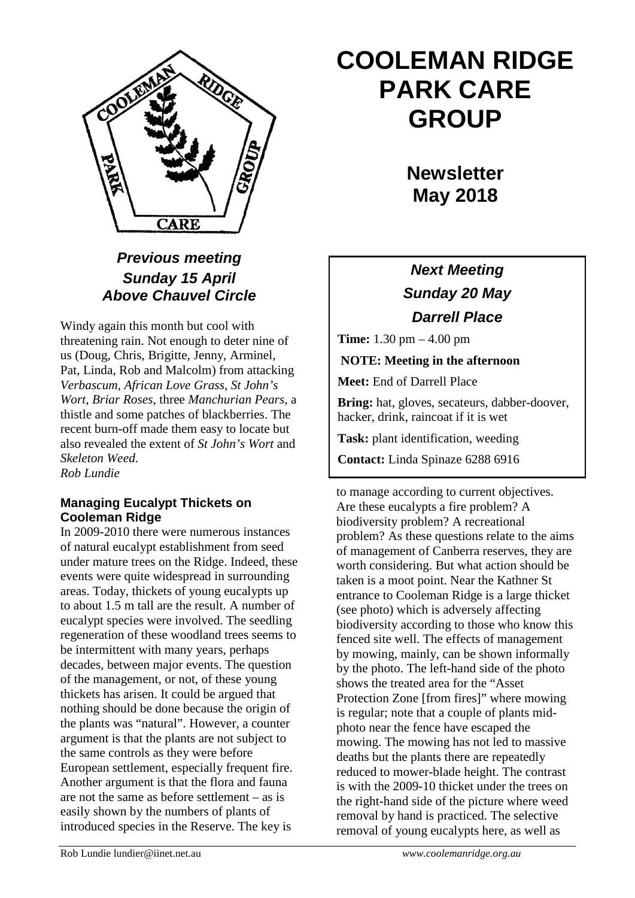

### *Previous meeting Sunday 15 April Above Chauvel Circle*

Windy again this month but cool with threatening rain. Not enough to deter nine of us (Doug, Chris, Brigitte, Jenny, Arminel, Pat, Linda, Rob and Malcolm) from attacking *Verbascum, African Love Grass, St John's Wort, Briar Roses,* three *Manchurian Pears,* a thistle and some patches of blackberries. The recent burn-off made them easy to locate but also revealed the extent of *St John's Wort* and *Skeleton Weed*. *Rob Lundie*

### **Managing Eucalypt Thickets on Cooleman Ridge**

In 2009-2010 there were numerous instances of natural eucalypt establishment from seed under mature trees on the Ridge. Indeed, these events were quite widespread in surrounding areas. Today, thickets of young eucalypts up to about 1.5 m tall are the result. A number of eucalypt species were involved. The seedling regeneration of these woodland trees seems to be intermittent with many years, perhaps decades, between major events. The question of the management, or not, of these young thickets has arisen. It could be argued that nothing should be done because the origin of the plants was "natural". However, a counter argument is that the plants are not subject to the same controls as they were before European settlement, especially frequent fire. Another argument is that the flora and fauna are not the same as before settlement – as is easily shown by the numbers of plants of introduced species in the Reserve. The key is

# **COOLEMAN RIDGE PARK CARE GROUP**

**Newsletter May 2018** 

## *Next Meeting Sunday 20 May Darrell Place*

**Time:** 1.30 pm – 4.00 pm

**NOTE: Meeting in the afternoon**

**Meet:** End of Darrell Place

**Bring:** hat, gloves, secateurs, dabber-doover, hacker, drink, raincoat if it is wet

**Task:** plant identification, weeding

**Contact:** Linda Spinaze 6288 6916

to manage according to current objectives. Are these eucalypts a fire problem? A biodiversity problem? A recreational problem? As these questions relate to the aims of management of Canberra reserves, they are worth considering. But what action should be taken is a moot point. Near the Kathner St entrance to Cooleman Ridge is a large thicket (see photo) which is adversely affecting biodiversity according to those who know this fenced site well. The effects of management by mowing, mainly, can be shown informally by the photo. The left-hand side of the photo shows the treated area for the "Asset Protection Zone [from fires]" where mowing is regular; note that a couple of plants midphoto near the fence have escaped the mowing. The mowing has not led to massive deaths but the plants there are repeatedly reduced to mower-blade height. The contrast is with the 2009-10 thicket under the trees on the right-hand side of the picture where weed removal by hand is practiced. The selective removal of young eucalypts here, as well as